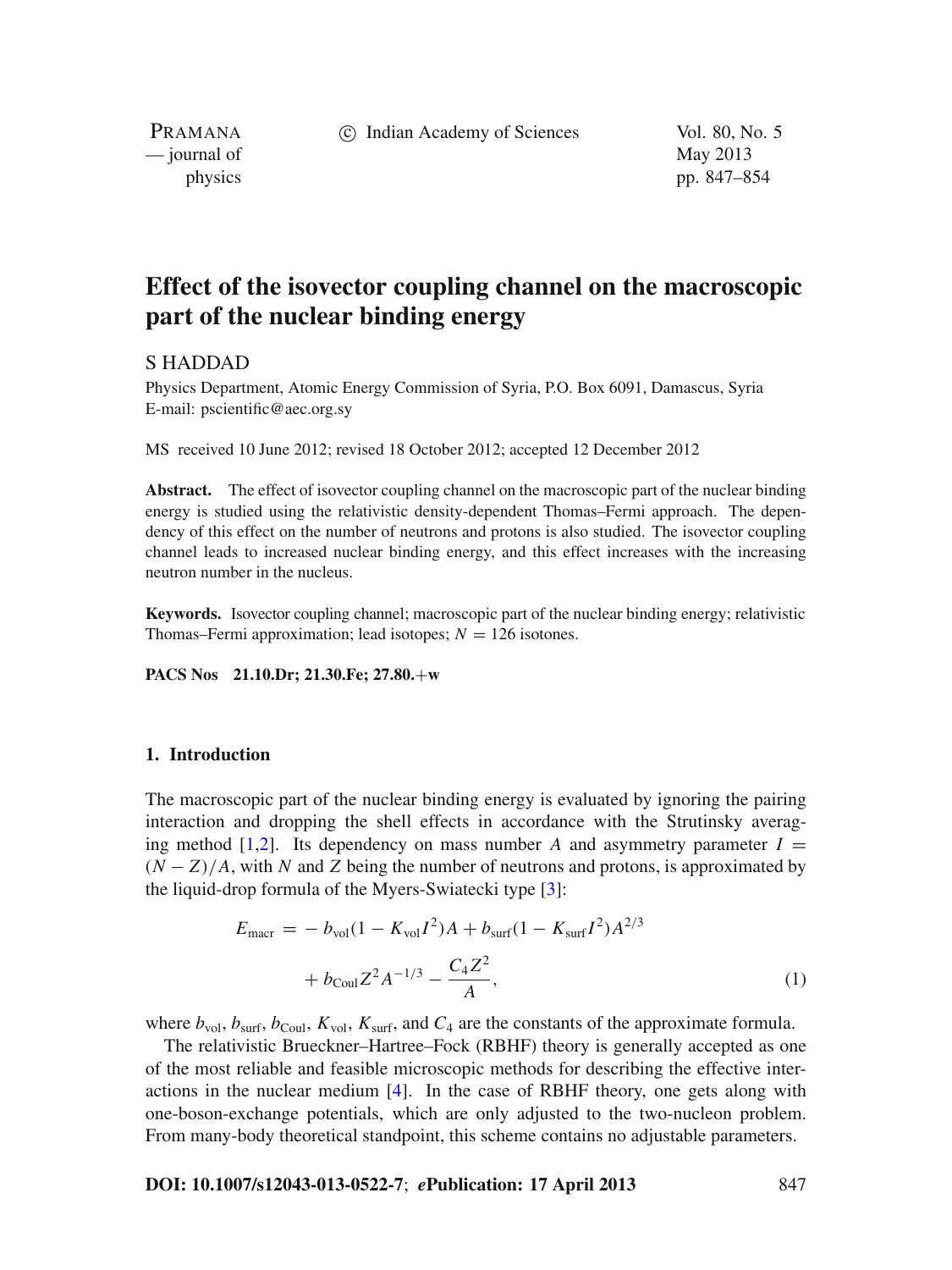c Indian Academy of Sciences Vol. 80, No. 5

PRAMANA — journal of May 2013

physics pp. 847–854

# **Effect of the isovector coupling channel on the macroscopic part of the nuclear binding energy**

## S HADDAD

Physics Department, Atomic Energy Commission of Syria, P.O. Box 6091, Damascus, Syria E-mail: pscientific@aec.org.sy

MS received 10 June 2012; revised 18 October 2012; accepted 12 December 2012

**Abstract.** The effect of isovector coupling channel on the macroscopic part of the nuclear binding energy is studied using the relativistic density-dependent Thomas–Fermi approach. The dependency of this effect on the number of neutrons and protons is also studied. The isovector coupling channel leads to increased nuclear binding energy, and this effect increases with the increasing neutron number in the nucleus.

**Keywords.** Isovector coupling channel; macroscopic part of the nuclear binding energy; relativistic Thomas–Fermi approximation; lead isotopes;  $N = 126$  isotones.

**PACS Nos 21.10.Dr; 21.30.Fe; 27.80.**+**w**

## **1. Introduction**

The macroscopic part of the nuclear binding energy is evaluated by ignoring the pairing interaction and dropping the shell effects in accordance with the Strutinsky averaging method  $[1,2]$  $[1,2]$  $[1,2]$ . Its dependency on mass number *A* and asymmetry parameter  $I =$  $(N - Z)/A$ , with N and Z being the number of neutrons and protons, is approximated by the liquid-drop formula of the Myers-Swiatecki type [\[3\]](#page-7-2):

$$
E_{\text{macro}} = -b_{\text{vol}}(1 - K_{\text{vol}}I^2)A + b_{\text{surf}}(1 - K_{\text{surf}}I^2)A^{2/3} + b_{\text{Coul}}Z^2A^{-1/3} - \frac{C_4Z^2}{A},
$$
\n(1)

where  $b_{\text{vol}}$ ,  $b_{\text{surf}}$ ,  $b_{\text{Coul}}$ ,  $K_{\text{vol}}$ ,  $K_{\text{surf}}$ , and  $C_4$  are the constants of the approximate formula.

The relativistic Brueckner–Hartree–Fock (RBHF) theory is generally accepted as one of the most reliable and feasible microscopic methods for describing the effective interactions in the nuclear medium [\[4](#page-7-3)]. In the case of RBHF theory, one gets along with one-boson-exchange potentials, which are only adjusted to the two-nucleon problem. From many-body theoretical standpoint, this scheme contains no adjustable parameters.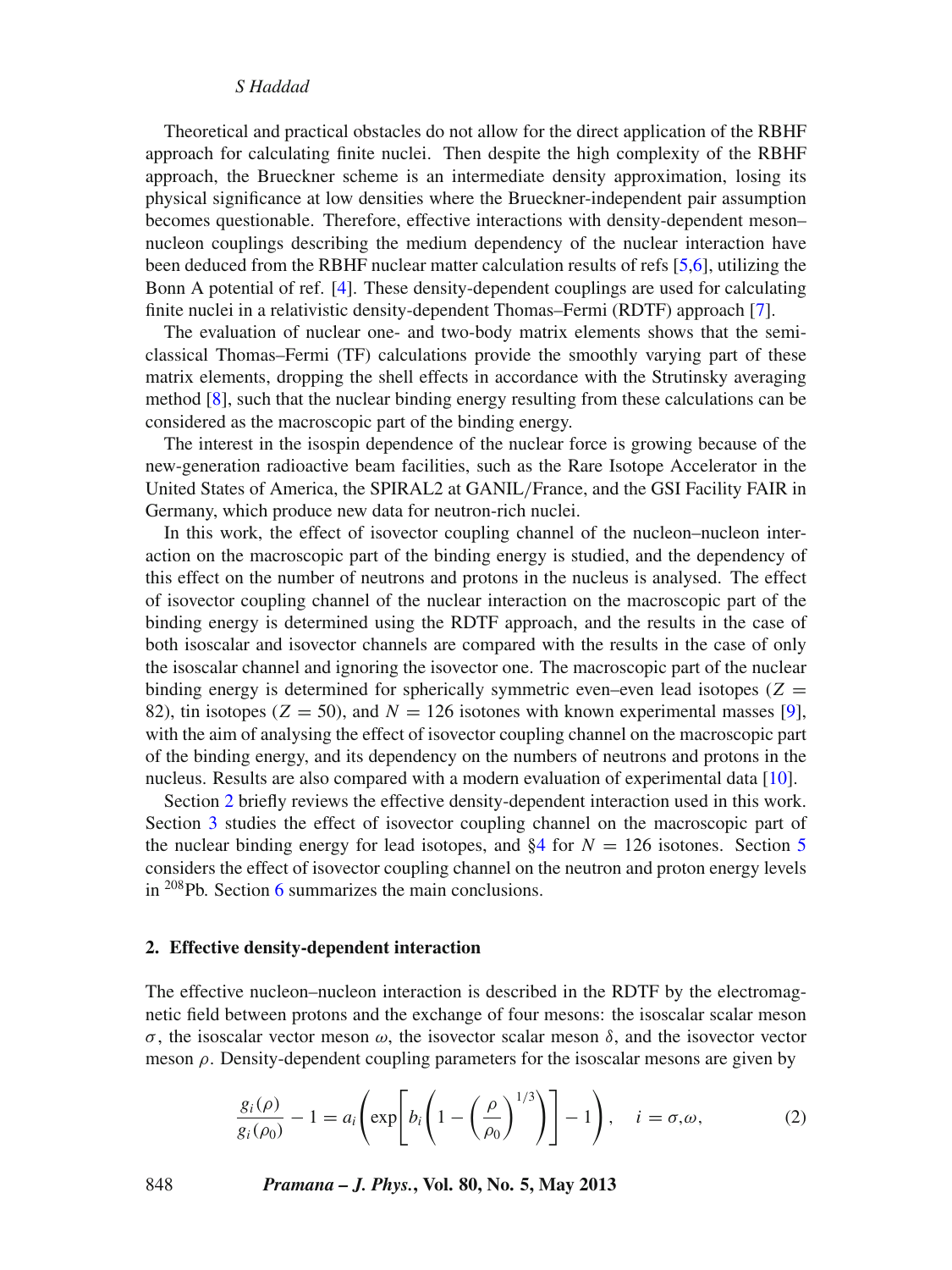## *S Haddad*

Theoretical and practical obstacles do not allow for the direct application of the RBHF approach for calculating finite nuclei. Then despite the high complexity of the RBHF approach, the Brueckner scheme is an intermediate density approximation, losing its physical significance at low densities where the Brueckner-independent pair assumption becomes questionable. Therefore, effective interactions with density-dependent meson– nucleon couplings describing the medium dependency of the nuclear interaction have been deduced from the RBHF nuclear matter calculation results of refs [\[5](#page-7-4)[,6](#page-7-5)], utilizing the Bonn A potential of ref. [\[4\]](#page-7-3). These density-dependent couplings are used for calculating finite nuclei in a relativistic density-dependent Thomas–Fermi (RDTF) approach [\[7](#page-7-6)].

The evaluation of nuclear one- and two-body matrix elements shows that the semiclassical Thomas–Fermi (TF) calculations provide the smoothly varying part of these matrix elements, dropping the shell effects in accordance with the Strutinsky averaging method [\[8\]](#page-7-7), such that the nuclear binding energy resulting from these calculations can be considered as the macroscopic part of the binding energy.

The interest in the isospin dependence of the nuclear force is growing because of the new-generation radioactive beam facilities, such as the Rare Isotope Accelerator in the United States of America, the SPIRAL2 at GANIL/France, and the GSI Facility FAIR in Germany, which produce new data for neutron-rich nuclei.

In this work, the effect of isovector coupling channel of the nucleon–nucleon interaction on the macroscopic part of the binding energy is studied, and the dependency of this effect on the number of neutrons and protons in the nucleus is analysed. The effect of isovector coupling channel of the nuclear interaction on the macroscopic part of the binding energy is determined using the RDTF approach, and the results in the case of both isoscalar and isovector channels are compared with the results in the case of only the isoscalar channel and ignoring the isovector one. The macroscopic part of the nuclear binding energy is determined for spherically symmetric even–even lead isotopes ( $Z =$ 82), tin isotopes ( $Z = 50$ ), and  $N = 126$  isotones with known experimental masses [\[9](#page-7-8)], with the aim of analysing the effect of isovector coupling channel on the macroscopic part of the binding energy, and its dependency on the numbers of neutrons and protons in the nucleus. Results are also compared with a modern evaluation of experimental data [\[10\]](#page-7-9).

Section [2](#page-1-0) briefly reviews the effective density-dependent interaction used in this work. Section [3](#page-3-0) studies the effect of isovector coupling channel on the macroscopic part of the nuclear binding energy for lead isotopes, and  $\S4$  for  $N = 126$  isotones. Section [5](#page-6-0) considers the effect of isovector coupling channel on the neutron and proton energy levels in 208Pb. Section [6](#page-7-10) summarizes the main conclusions.

## <span id="page-1-0"></span>**2. Effective density-dependent interaction**

The effective nucleon–nucleon interaction is described in the RDTF by the electromagnetic field between protons and the exchange of four mesons: the isoscalar scalar meson σ, the isoscalar vector meson ω, the isovector scalar meson δ, and the isovector vector meson  $\rho$ . Density-dependent coupling parameters for the isoscalar mesons are given by

$$
\frac{g_i(\rho)}{g_i(\rho_0)} - 1 = a_i \left( \exp\left[ b_i \left( 1 - \left( \frac{\rho}{\rho_0} \right)^{1/3} \right) \right] - 1 \right), \quad i = \sigma, \omega,
$$
 (2)

848 *Pramana – J. Phys.***, Vol. 80, No. 5, May 2013**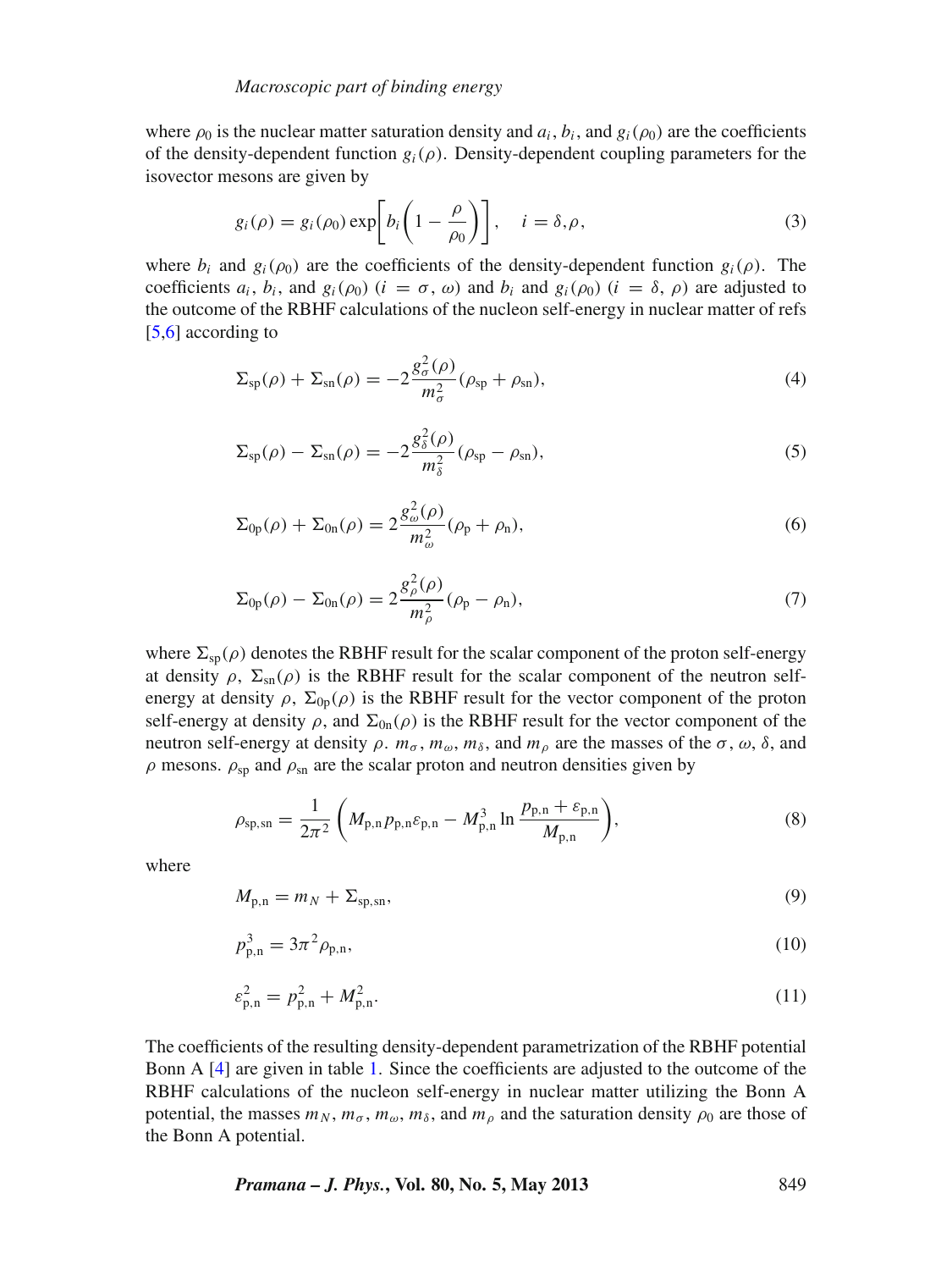where  $\rho_0$  is the nuclear matter saturation density and  $a_i$ ,  $b_i$ , and  $g_i(\rho_0)$  are the coefficients of the density-dependent function  $g_i(\rho)$ . Density-dependent coupling parameters for the isovector mesons are given by

$$
g_i(\rho) = g_i(\rho_0) \exp\bigg[b_i\bigg(1 - \frac{\rho}{\rho_0}\bigg)\bigg], \quad i = \delta, \rho,
$$
\n(3)

where  $b_i$  and  $g_i(\rho_0)$  are the coefficients of the density-dependent function  $g_i(\rho)$ . The coefficients  $a_i$ ,  $b_i$ , and  $g_i(\rho_0)$  ( $i = \sigma$ ,  $\omega$ ) and  $b_i$  and  $g_i(\rho_0)$  ( $i = \delta$ ,  $\rho$ ) are adjusted to the outcome of the RBHF calculations of the nucleon self-energy in nuclear matter of refs [\[5](#page-7-4)[,6\]](#page-7-5) according to

$$
\Sigma_{\rm sp}(\rho) + \Sigma_{\rm sn}(\rho) = -2\frac{g_{\sigma}^2(\rho)}{m_{\sigma}^2}(\rho_{\rm sp} + \rho_{\rm sn}),\tag{4}
$$

<span id="page-2-0"></span>
$$
\Sigma_{\rm sp}(\rho) - \Sigma_{\rm sn}(\rho) = -2\frac{g_{\delta}^2(\rho)}{m_{\delta}^2}(\rho_{\rm sp} - \rho_{\rm sn}),\tag{5}
$$

$$
\Sigma_{0p}(\rho) + \Sigma_{0n}(\rho) = 2 \frac{g_{\omega}^2(\rho)}{m_{\omega}^2} (\rho_p + \rho_n),
$$
\n(6)

<span id="page-2-1"></span>
$$
\Sigma_{0p}(\rho) - \Sigma_{0n}(\rho) = 2 \frac{g_{\rho}^{2}(\rho)}{m_{\rho}^{2}} (\rho_{p} - \rho_{n}),
$$
\n(7)

where  $\Sigma_{\rm{so}}(\rho)$  denotes the RBHF result for the scalar component of the proton self-energy at density  $\rho$ ,  $\Sigma_{\rm sn}(\rho)$  is the RBHF result for the scalar component of the neutron selfenergy at density  $\rho$ ,  $\Sigma_{0p}(\rho)$  is the RBHF result for the vector component of the proton self-energy at density  $\rho$ , and  $\Sigma_{0n}(\rho)$  is the RBHF result for the vector component of the neutron self-energy at density  $ρ$ .  $m_σ$ ,  $m_ω$ ,  $m_δ$ , and  $m_ρ$  are the masses of the  $σ$ ,  $ω$ ,  $δ$ , and  $\rho$  mesons.  $\rho_{\rm sp}$  and  $\rho_{\rm sn}$  are the scalar proton and neutron densities given by

$$
\rho_{\rm sp, sn} = \frac{1}{2\pi^2} \left( M_{\rm p, n} p_{\rm p, n} \varepsilon_{\rm p, n} - M_{\rm p, n}^3 \ln \frac{p_{\rm p, n} + \varepsilon_{\rm p, n}}{M_{\rm p, n}} \right),\tag{8}
$$

where

$$
M_{p,n} = m_N + \Sigma_{\text{sp},\text{sn}},\tag{9}
$$

$$
p_{p,n}^3 = 3\pi^2 \rho_{p,n},\tag{10}
$$

$$
\varepsilon_{p,n}^2 = p_{p,n}^2 + M_{p,n}^2. \tag{11}
$$

The coefficients of the resulting density-dependent parametrization of the RBHF potential Bonn A [\[4](#page-7-3)] are given in table [1.](#page-3-1) Since the coefficients are adjusted to the outcome of the RBHF calculations of the nucleon self-energy in nuclear matter utilizing the Bonn A potential, the masses  $m_N$ ,  $m_{\sigma}$ ,  $m_{\omega}$ ,  $m_{\delta}$ , and  $m_{\rho}$  and the saturation density  $\rho_0$  are those of the Bonn A potential.

*Pramana – J. Phys.***, Vol. 80, No. 5, May 2013** 849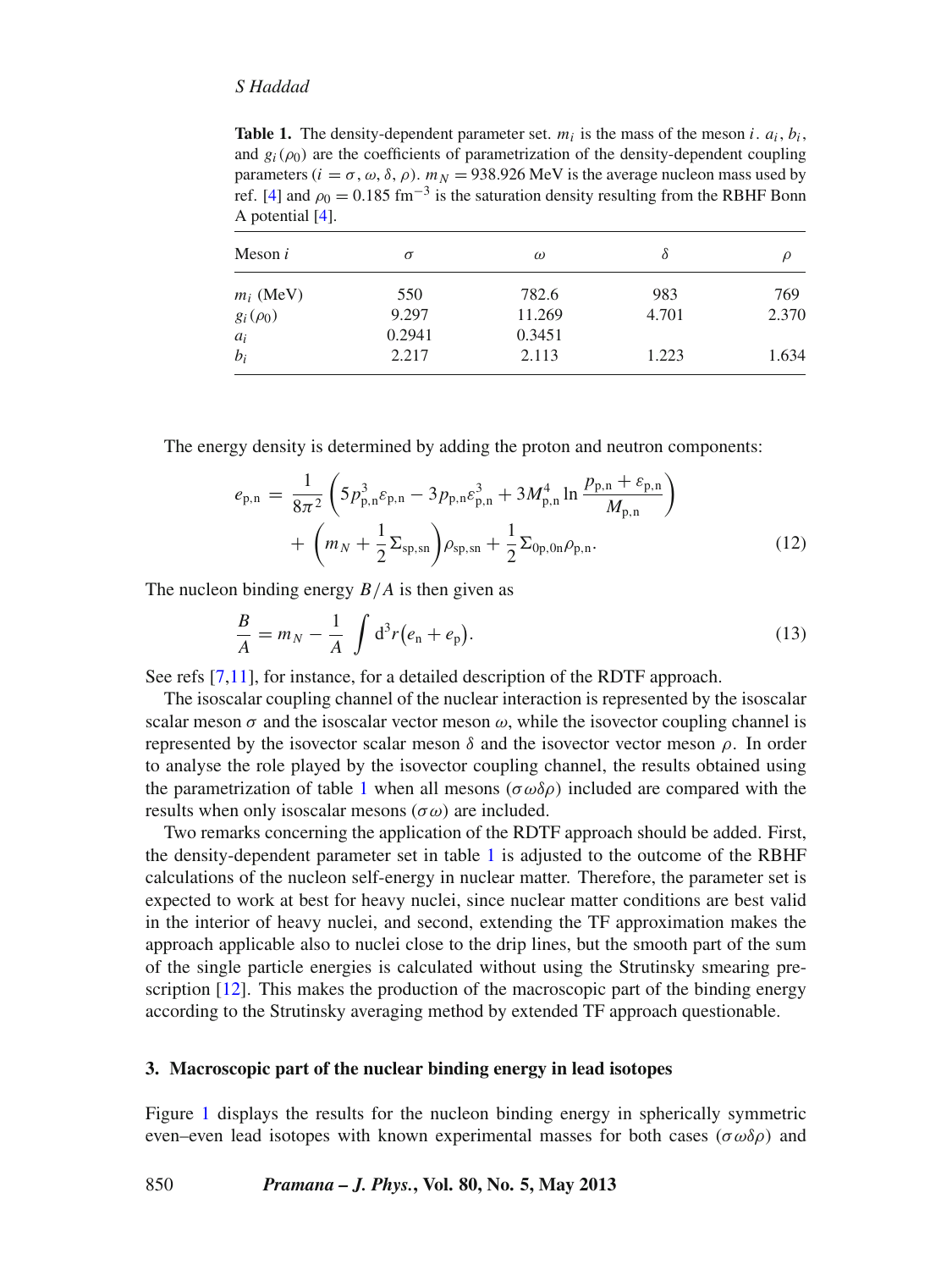## *S Haddad*

<span id="page-3-1"></span>**Table 1.** The density-dependent parameter set.  $m_i$  is the mass of the meson *i*.  $a_i$ ,  $b_i$ , and  $g_i(\rho_0)$  are the coefficients of parametrization of the density-dependent coupling parameters ( $i = \sigma, \omega, \delta, \rho$ ).  $m_N = 938.926$  MeV is the average nucleon mass used by ref. [\[4](#page-7-3)] and  $\rho_0 = 0.185$  fm<sup>-3</sup> is the saturation density resulting from the RBHF Bonn A potential [\[4\]](#page-7-3).

| Meson $i$     | $\sigma$ | $\omega$ | δ     |       |
|---------------|----------|----------|-------|-------|
| $m_i$ (MeV)   | 550      | 782.6    | 983   | 769   |
| $g_i(\rho_0)$ | 9.297    | 11.269   | 4.701 | 2.370 |
| $a_i$         | 0.2941   | 0.3451   |       |       |
| $b_i$         | 2.217    | 2.113    | 1.223 | 1.634 |

The energy density is determined by adding the proton and neutron components:

$$
e_{p,n} = \frac{1}{8\pi^2} \left( 5p_{p,n}^3 \varepsilon_{p,n} - 3p_{p,n} \varepsilon_{p,n}^3 + 3M_{p,n}^4 \ln \frac{p_{p,n} + \varepsilon_{p,n}}{M_{p,n}} \right) + \left( m_N + \frac{1}{2} \Sigma_{sp,sn} \right) \rho_{sp,sn} + \frac{1}{2} \Sigma_{0p,0n} \rho_{p,n}.
$$
 (12)

The nucleon binding energy *B*/*A* is then given as

$$
\frac{B}{A} = m_N - \frac{1}{A} \int d^3r (e_n + e_p).
$$
 (13)

See refs [\[7](#page-7-6)[,11](#page-7-11)], for instance, for a detailed description of the RDTF approach.

The isoscalar coupling channel of the nuclear interaction is represented by the isoscalar scalar meson  $\sigma$  and the isoscalar vector meson  $\omega$ , while the isovector coupling channel is represented by the isovector scalar meson  $\delta$  and the isovector vector meson  $\rho$ . In order to analyse the role played by the isovector coupling channel, the results obtained using the parametrization of table [1](#page-3-1) when all mesons ( $\sigma \omega \delta \rho$ ) included are compared with the results when only isoscalar mesons  $(\sigma \omega)$  are included.

Two remarks concerning the application of the RDTF approach should be added. First, the density-dependent parameter set in table [1](#page-3-1) is adjusted to the outcome of the RBHF calculations of the nucleon self-energy in nuclear matter. Therefore, the parameter set is expected to work at best for heavy nuclei, since nuclear matter conditions are best valid in the interior of heavy nuclei, and second, extending the TF approximation makes the approach applicable also to nuclei close to the drip lines, but the smooth part of the sum of the single particle energies is calculated without using the Strutinsky smearing prescription [\[12\]](#page-7-12). This makes the production of the macroscopic part of the binding energy according to the Strutinsky averaging method by extended TF approach questionable.

## <span id="page-3-0"></span>**3. Macroscopic part of the nuclear binding energy in lead isotopes**

Figure [1](#page-4-1) displays the results for the nucleon binding energy in spherically symmetric even–even lead isotopes with known experimental masses for both cases ( $\sigma \omega \delta \rho$ ) and

## 850 *Pramana – J. Phys.***, Vol. 80, No. 5, May 2013**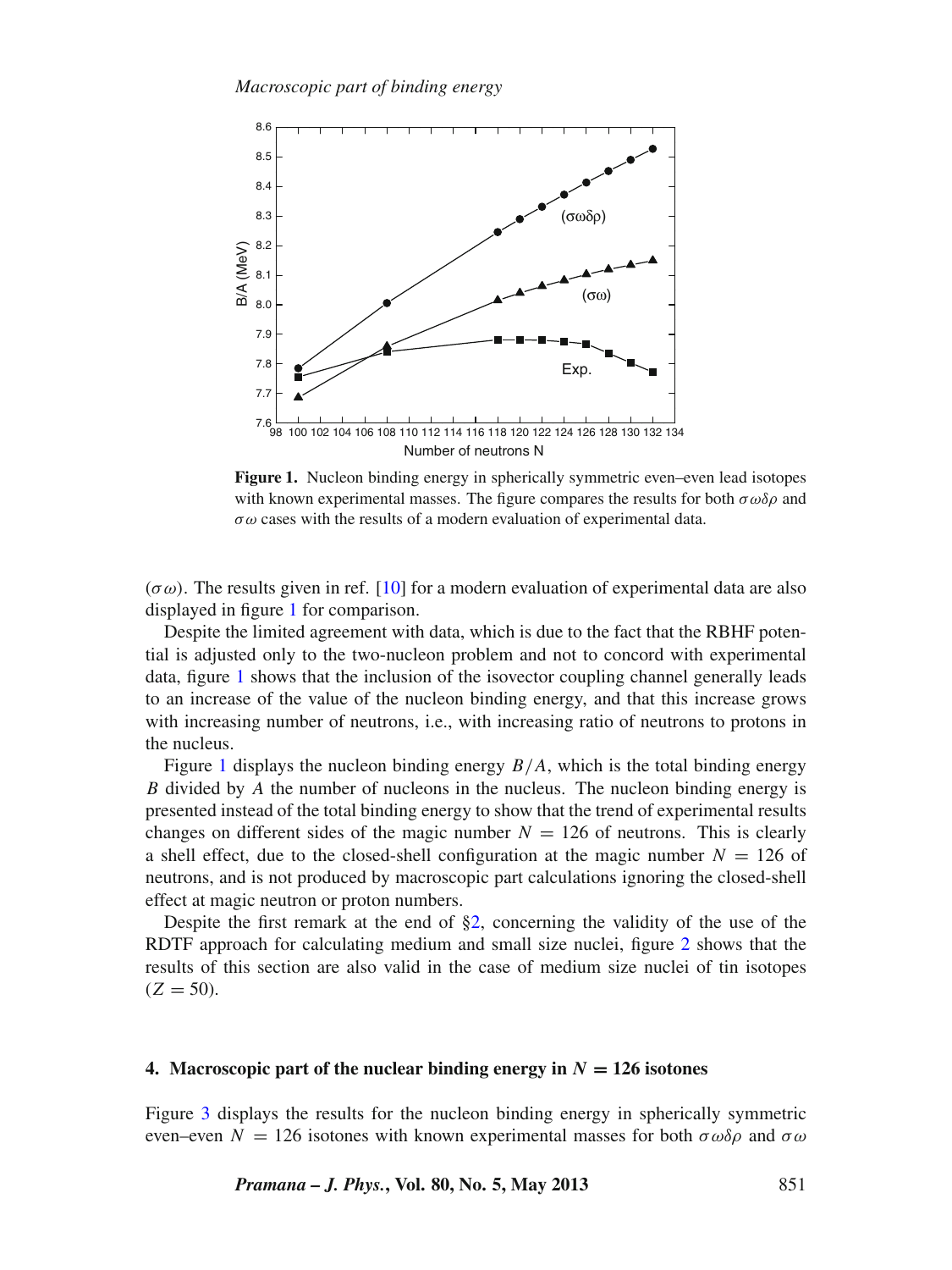<span id="page-4-1"></span>

**Figure 1.** Nucleon binding energy in spherically symmetric even–even lead isotopes with known experimental masses. The figure compares the results for both  $\sigma \omega \delta \rho$  and  $\sigma \omega$  cases with the results of a modern evaluation of experimental data.

 $(\sigma \omega)$ . The results given in ref. [\[10\]](#page-7-9) for a modern evaluation of experimental data are also displayed in figure [1](#page-4-1) for comparison.

Despite the limited agreement with data, which is due to the fact that the RBHF potential is adjusted only to the two-nucleon problem and not to concord with experimental data, figure [1](#page-4-1) shows that the inclusion of the isovector coupling channel generally leads to an increase of the value of the nucleon binding energy, and that this increase grows with increasing number of neutrons, i.e., with increasing ratio of neutrons to protons in the nucleus.

Figure [1](#page-4-1) displays the nucleon binding energy *B*/*A*, which is the total binding energy *B* divided by *A* the number of nucleons in the nucleus. The nucleon binding energy is presented instead of the total binding energy to show that the trend of experimental results changes on different sides of the magic number  $N = 126$  of neutrons. This is clearly a shell effect, due to the closed-shell configuration at the magic number  $N = 126$  of neutrons, and is not produced by macroscopic part calculations ignoring the closed-shell effect at magic neutron or proton numbers.

Despite the first remark at the end of [§2,](#page-1-0) concerning the validity of the use of the RDTF approach for calculating medium and small size nuclei, figure [2](#page-5-0) shows that the results of this section are also valid in the case of medium size nuclei of tin isotopes  $(Z = 50)$ .

## <span id="page-4-0"></span>**4. Macroscopic part of the nuclear binding energy in**  $N = 126$  isotones

Figure [3](#page-5-1) displays the results for the nucleon binding energy in spherically symmetric even–even  $N = 126$  isotones with known experimental masses for both  $\sigma \omega \delta \rho$  and  $\sigma \omega$ 

*Pramana – J. Phys.***, Vol. 80, No. 5, May 2013** 851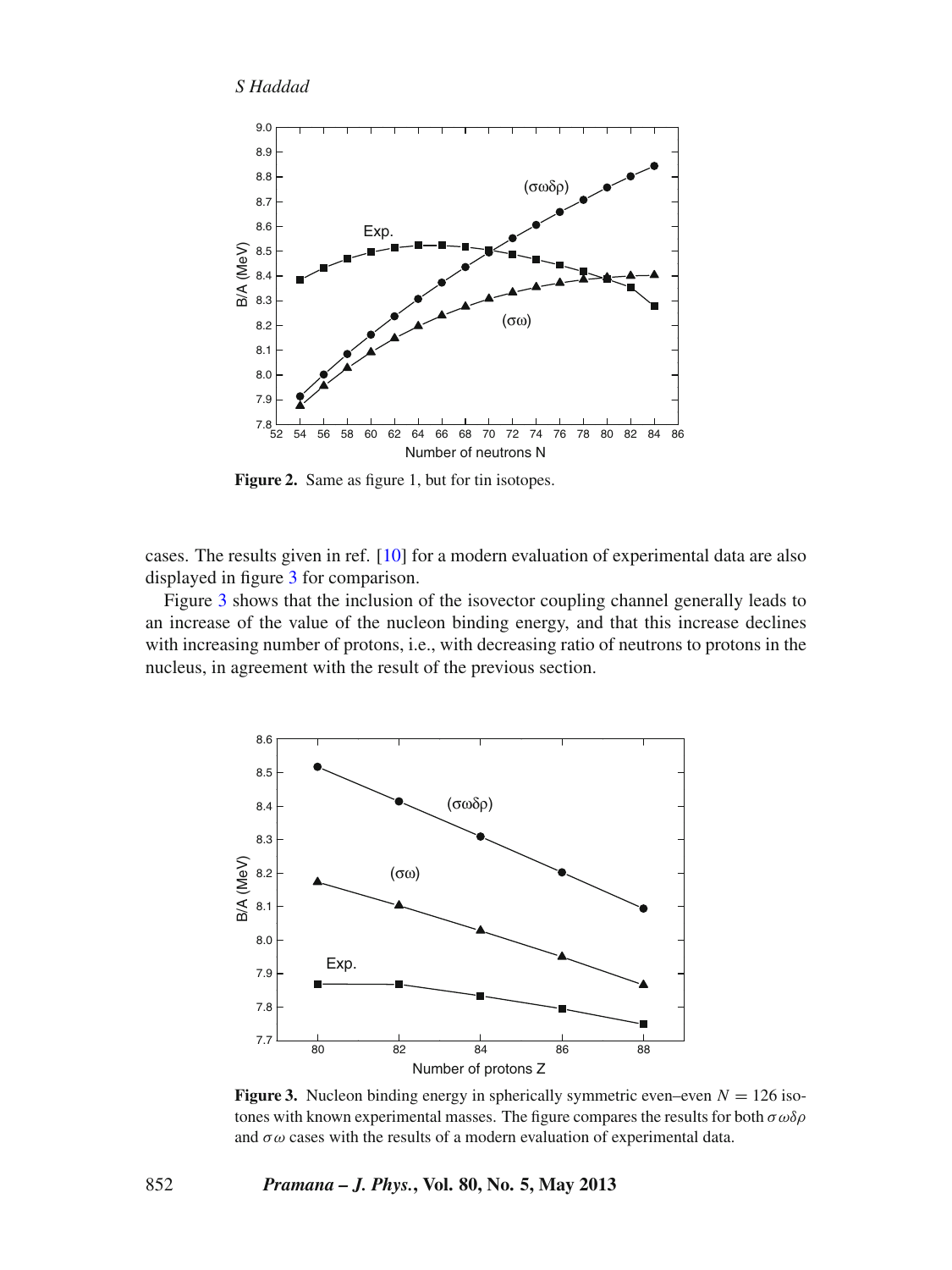<span id="page-5-0"></span>

**Figure 2.** Same as figure 1, but for tin isotopes.

cases. The results given in ref. [\[10\]](#page-7-9) for a modern evaluation of experimental data are also displayed in figure [3](#page-5-1) for comparison.

Figure [3](#page-5-1) shows that the inclusion of the isovector coupling channel generally leads to an increase of the value of the nucleon binding energy, and that this increase declines with increasing number of protons, i.e., with decreasing ratio of neutrons to protons in the nucleus, in agreement with the result of the previous section.

<span id="page-5-1"></span>

**Figure 3.** Nucleon binding energy in spherically symmetric even–even  $N = 126$  isotones with known experimental masses. The figure compares the results for both  $\sigma \omega \delta \rho$ and  $\sigma \omega$  cases with the results of a modern evaluation of experimental data.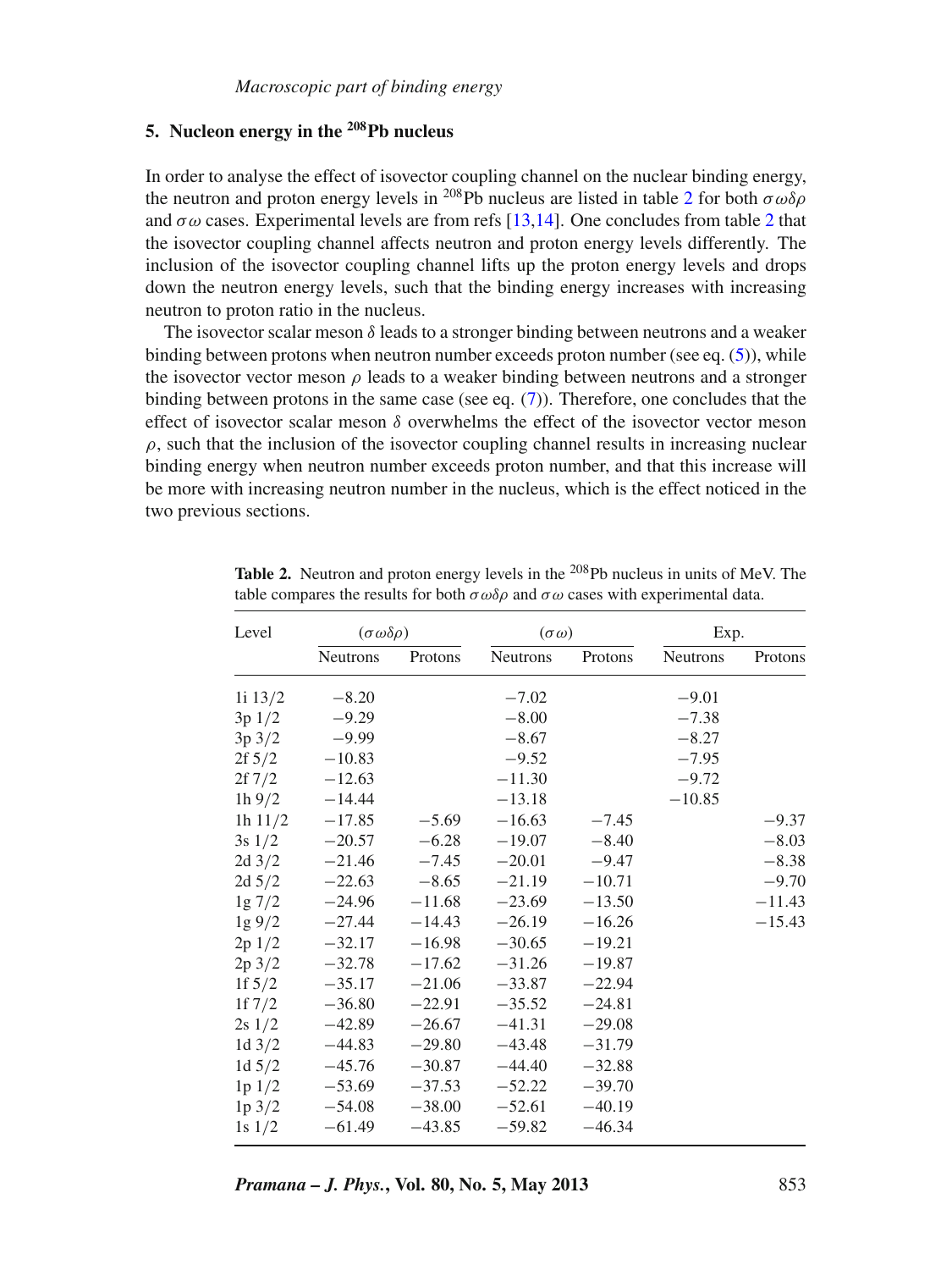## <span id="page-6-0"></span>**5. Nucleon energy in the 208Pb nucleus**

In order to analyse the effect of isovector coupling channel on the nuclear binding energy, the neutron and proton energy levels in <sup>[2](#page-6-1)08</sup>Pb nucleus are listed in table 2 for both  $\sigma \omega \delta \rho$ and  $\sigma \omega$  cases. Experimental levels are from refs [\[13](#page-7-13)[,14\]](#page-7-14). One concludes from table [2](#page-6-1) that the isovector coupling channel affects neutron and proton energy levels differently. The inclusion of the isovector coupling channel lifts up the proton energy levels and drops down the neutron energy levels, such that the binding energy increases with increasing neutron to proton ratio in the nucleus.

The isovector scalar meson  $\delta$  leads to a stronger binding between neutrons and a weaker binding between protons when neutron number exceeds proton number (see eq. [\(5\)](#page-2-0)), while the isovector vector meson  $\rho$  leads to a weaker binding between neutrons and a stronger binding between protons in the same case (see eq.  $(7)$ ). Therefore, one concludes that the effect of isovector scalar meson  $\delta$  overwhelms the effect of the isovector vector meson  $\rho$ , such that the inclusion of the isovector coupling channel results in increasing nuclear binding energy when neutron number exceeds proton number, and that this increase will be more with increasing neutron number in the nucleus, which is the effect noticed in the two previous sections.

| Level            | $(\sigma \omega \delta \rho)$ |          | $(\sigma \omega)$ |          | Exp.            |          |
|------------------|-------------------------------|----------|-------------------|----------|-----------------|----------|
|                  | <b>Neutrons</b>               | Protons  | <b>Neutrons</b>   | Protons  | <b>Neutrons</b> | Protons  |
| 1i 13/2          | $-8.20$                       |          | $-7.02$           |          | $-9.01$         |          |
| 3p1/2            | $-9.29$                       |          | $-8.00$           |          | $-7.38$         |          |
| $3p\frac{3}{2}$  | $-9.99$                       |          | $-8.67$           |          | $-8.27$         |          |
| $2f\sqrt{5}/2$   | $-10.83$                      |          | $-9.52$           |          | $-7.95$         |          |
| $2f\,7/2$        | $-12.63$                      |          | $-11.30$          |          | $-9.72$         |          |
| $1h\,9/2$        | $-14.44$                      |          | $-13.18$          |          | $-10.85$        |          |
| 1h $11/2$        | $-17.85$                      | $-5.69$  | $-16.63$          | $-7.45$  |                 | $-9.37$  |
| $3s \frac{1}{2}$ | $-20.57$                      | $-6.28$  | $-19.07$          | $-8.40$  |                 | $-8.03$  |
| $2d \frac{3}{2}$ | $-21.46$                      | $-7.45$  | $-20.01$          | $-9.47$  |                 | $-8.38$  |
| $2d\ 5/2$        | $-22.63$                      | $-8.65$  | $-21.19$          | $-10.71$ |                 | $-9.70$  |
| $1g\ 7/2$        | $-24.96$                      | $-11.68$ | $-23.69$          | $-13.50$ |                 | $-11.43$ |
| $1g\,9/2$        | $-27.44$                      | $-14.43$ | $-26.19$          | $-16.26$ |                 | $-15.43$ |
| 2p 1/2           | $-32.17$                      | $-16.98$ | $-30.65$          | $-19.21$ |                 |          |
| $2p \frac{3}{2}$ | $-32.78$                      | $-17.62$ | $-31.26$          | $-19.87$ |                 |          |
| 1f $5/2$         | $-35.17$                      | $-21.06$ | $-33.87$          | $-22.94$ |                 |          |
| 1f $7/2$         | $-36.80$                      | $-22.91$ | $-35.52$          | $-24.81$ |                 |          |
| $2s \frac{1}{2}$ | $-42.89$                      | $-26.67$ | $-41.31$          | $-29.08$ |                 |          |
| 1d $3/2$         | $-44.83$                      | $-29.80$ | $-43.48$          | $-31.79$ |                 |          |
| 1d $5/2$         | $-45.76$                      | $-30.87$ | $-44.40$          | $-32.88$ |                 |          |
| 1p 1/2           | $-53.69$                      | $-37.53$ | $-52.22$          | $-39.70$ |                 |          |
| $1p \frac{3}{2}$ | $-54.08$                      | $-38.00$ | $-52.61$          | $-40.19$ |                 |          |
| $1s \frac{1}{2}$ | $-61.49$                      | $-43.85$ | $-59.82$          | $-46.34$ |                 |          |

<span id="page-6-1"></span>**Table 2.** Neutron and proton energy levels in the <sup>208</sup>Pb nucleus in units of MeV. The table compares the results for both  $\sigma \omega \delta \rho$  and  $\sigma \omega$  cases with experimental data.